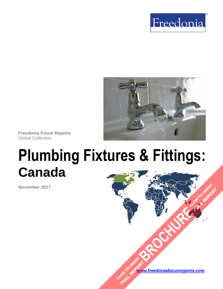



**Freedonia Focus Reports** Global Collection

# **Plumbing Fixtures & Fittings: Canada**

**November 2017**

**www.freedoniafocusreports.com** CLICK TO ORDER **FULL REPORT** 

**[BROCHURE](https://www.freedoniafocusreports.com/Plumbing-Fixtures-Fittings-Canada-FA60035/?progid=89541) CLICK TO ORDER** 

**FULL REPORT**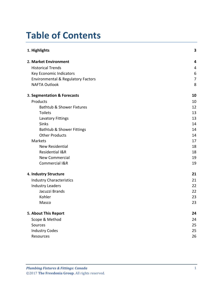# **Table of Contents**

| 1. Highlights                                 | 3              |
|-----------------------------------------------|----------------|
| 2. Market Environment                         | 4              |
| <b>Historical Trends</b>                      | 4              |
| Key Economic Indicators                       | 6              |
| <b>Environmental &amp; Regulatory Factors</b> | $\overline{7}$ |
| <b>NAFTA Outlook</b>                          | 8              |
| 3. Segmentation & Forecasts                   | 10             |
| Products                                      | 10             |
| <b>Bathtub &amp; Shower Fixtures</b>          | 12             |
| <b>Toilets</b>                                | 13             |
| <b>Lavatory Fittings</b>                      | 13             |
| <b>Sinks</b>                                  | 14             |
| <b>Bathtub &amp; Shower Fittings</b>          | 14             |
| <b>Other Products</b>                         | 14             |
| <b>Markets</b>                                | 17             |
| <b>New Residential</b>                        | 18             |
| Residential I&R                               | 18             |
| <b>New Commercial</b>                         | 19             |
| Commercial I&R                                | 19             |
| 4. Industry Structure                         | 21             |
| <b>Industry Characteristics</b>               | 21             |
| <b>Industry Leaders</b>                       | 22             |
| Jacuzzi Brands                                | 22             |
| Kohler                                        | 23             |
| Masco                                         | 23             |
| 5. About This Report                          | 24             |
| Scope & Method                                | 24             |
| Sources                                       | 25             |
| <b>Industry Codes</b>                         | 25             |
| Resources                                     | 26             |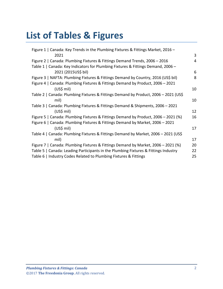# **List of Tables & Figures**

| Figure 1   Canada: Key Trends in the Plumbing Fixtures & Fittings Market, 2016 -    |    |
|-------------------------------------------------------------------------------------|----|
| 2021                                                                                | 3  |
| Figure 2   Canada: Plumbing Fixtures & Fittings Demand Trends, 2006 - 2016          | 4  |
| Table 1   Canada: Key Indicators for Plumbing Fixtures & Fittings Demand, 2006 -    |    |
| 2021 (2015US\$ bil)                                                                 | 6  |
| Figure 3   NAFTA: Plumbing Fixtures & Fittings Demand by Country, 2016 (US\$ bil)   | 8  |
| Figure 4   Canada: Plumbing Fixtures & Fittings Demand by Product, 2006 - 2021      |    |
| $(US$)$ mil)                                                                        | 10 |
| Table 2   Canada: Plumbing Fixtures & Fittings Demand by Product, 2006 - 2021 (US\$ |    |
| mil)                                                                                | 10 |
| Table 3   Canada: Plumbing Fixtures & Fittings Demand & Shipments, 2006 - 2021      |    |
| $(US$)$ mil)                                                                        | 12 |
| Figure 5   Canada: Plumbing Fixtures & Fittings Demand by Product, 2006 - 2021 (%)  | 16 |
| Figure 6   Canada: Plumbing Fixtures & Fittings Demand by Market, 2006 - 2021       |    |
| $(US$)$ mil)                                                                        | 17 |
| Table 4   Canada: Plumbing Fixtures & Fittings Demand by Market, 2006 - 2021 (US\$  |    |
| mil)                                                                                | 17 |
| Figure 7   Canada: Plumbing Fixtures & Fittings Demand by Market, 2006 – 2021 (%)   | 20 |
| Table 5   Canada: Leading Participants in the Plumbing Fixtures & Fittings Industry | 22 |
| Table 6   Industry Codes Related to Plumbing Fixtures & Fittings                    | 25 |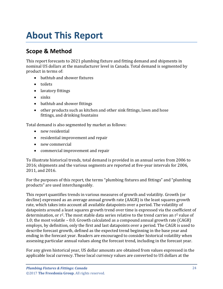# <span id="page-3-0"></span>**About This Report**

# <span id="page-3-1"></span>**Scope & Method**

This report forecasts to 2021 plumbing fixture and fitting demand and shipments in nominal US dollars at the manufacturer level in Canada. Total demand is segmented by product in terms of:

- bathtub and shower fixtures
- toilets
- lavatory fittings
- sinks
- bathtub and shower fittings
- other products such as kitchen and other sink fittings, lawn and hose fittings, and drinking fountains

Total demand is also segmented by market as follows:

- new residential
- residential improvement and repair
- new commercial
- commercial improvement and repair

To illustrate historical trends, total demand is provided in an annual series from 2006 to 2016; shipments and the various segments are reported at five-year intervals for 2006, 2011, and 2016.

For the purposes of this report, the terms "plumbing fixtures and fittings" and "plumbing products" are used interchangeably.

This report quantifies trends in various measures of growth and volatility. Growth (or decline) expressed as an average annual growth rate (AAGR) is the least squares growth rate, which takes into account all available datapoints over a period. The volatility of datapoints around a least squares growth trend over time is expressed via the coefficient of determination, or  $r^2$ . The most stable data series relative to the trend carries an  $r^2$  value of 1.0; the most volatile – 0.0. Growth calculated as a compound annual growth rate (CAGR) employs, by definition, only the first and last datapoints over a period. The CAGR is used to describe forecast growth, defined as the expected trend beginning in the base year and ending in the forecast year. Readers are encouraged to consider historical volatility when assessing particular annual values along the forecast trend, including in the forecast year.

For any given historical year, US dollar amounts are obtained from values expressed in the applicable local currency. These local currency values are converted to US dollars at the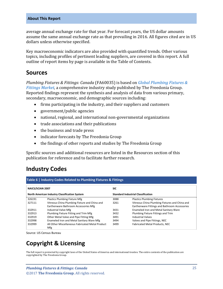#### **About This Report**

average annual exchange rate for that year. For forecast years, the US dollar amounts assume the same annual exchange rate as that prevailing in 2016. All figures cited are in US dollars unless otherwise specified.

Key macroeconomic indicators are also provided with quantified trends. Other various topics, including profiles of pertinent leading suppliers, are covered in this report. A full outline of report items by page is available in the Table of Contents.

## <span id="page-4-0"></span>**Sources**

*Plumbing Fixtures & Fittings: Canada* (FA60035) is based on *[Global Plumbing Fixtures &](http://www.freedoniagroup.com/DocumentDetails.aspx?ReferrerId=FL-FOCUS&studyid=3582)  [Fittings Market,](http://www.freedoniagroup.com/DocumentDetails.aspx?ReferrerId=FL-FOCUS&studyid=3582)* a comprehensive industry study published by The Freedonia Group. Reported findings represent the synthesis and analysis of data from various primary, secondary, macroeconomic, and demographic sources including:

- firms participating in the industry, and their suppliers and customers
- government/public agencies
- national, regional, and international non-governmental organizations
- trade associations and their publications
- the business and trade press
- indicator forecasts by The Freedonia Group
- the findings of other reports and studies by The Freedonia Group

Specific sources and additional resources are listed in the Resources section of this publication for reference and to facilitate further research.

# <span id="page-4-1"></span>**Industry Codes**

<span id="page-4-2"></span>

| Table 6   Industry Codes Related to Plumbing Fixtures & Fittings |                                                                                                   |            |                                                |  |
|------------------------------------------------------------------|---------------------------------------------------------------------------------------------------|------------|------------------------------------------------|--|
| NAICS/SCIAN 2007                                                 |                                                                                                   | <b>SIC</b> |                                                |  |
|                                                                  | <b>Standard Industrial Classification</b><br><b>North American Industry Classification System</b> |            |                                                |  |
| 326191                                                           | Plastics Plumbing Fixture Mfg                                                                     | 3088       | <b>Plastics Plumbing Fixtures</b>              |  |
| 327111                                                           | Vitreous China Plumbing Fixture and China and                                                     | 3261       | Vitreous China Plumbing Fixtures and China and |  |
|                                                                  | Earthenware Bathroom Accessories Mfg                                                              |            | Earthenware Fittings and Bathroom Accessories  |  |
| 332911                                                           | Industrial Valve Mfg                                                                              | 3431       | <b>Enameled Iron and Metal Sanitary Ware</b>   |  |
| 332913                                                           | Plumbing Fixture Fitting and Trim Mfg                                                             | 3432       | Plumbing Fixture Fittings and Trim             |  |
| 332919                                                           | Other Metal Valve and Pipe Fitting Mfg                                                            | 3491       | <b>Industrial Valves</b>                       |  |
| 332998                                                           | Enameled Iron and Metal Sanitary Ware Mfg                                                         | 3494       | Valves and Pipe Fittings, NEC                  |  |
| 332999                                                           | All Other Miscellaneous Fabricated Metal Product<br>Mfg                                           | 3499       | <b>Fabricated Metal Products, NEC</b>          |  |

Source: US Census Bureau

# **Copyright & Licensing**

The full report is protected by copyright laws of the United States of America and international treaties. The entire contents of the publication are copyrighted by The Freedonia Group.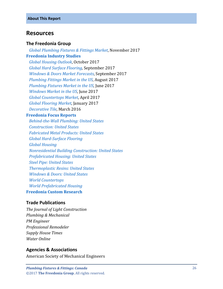### <span id="page-5-0"></span>**Resources**

#### **The Freedonia Group**

 *[Global Plumbing Fixtures & Fittings Market](http://www.freedoniagroup.com/DocumentDetails.aspx?ReferrerId=FL-FOCUS&studyid=3582)*, November 2017 **[Freedonia Industry Studies](http://www.freedoniagroup.com/Home.aspx?ReferrerId=FL-Focus)**  *[Global Housing Outlook](http://www.freedoniagroup.com/DocumentDetails.aspx?ReferrerId=FL-FOCUS&studyid=3540)*, October 2017  *[Global Hard Surface Flooring](http://www.freedoniagroup.com/DocumentDetails.aspx?ReferrerId=FL-FOCUS&studyid=3556)*, September 2017  *[Windows & Doors Market Forecasts](http://www.freedoniagroup.com/DocumentDetails.aspx?ReferrerId=FL-FOCUS&studyid=3572)*, September 2017  *[Plumbing Fittings Market in the US](https://www.freedoniagroup.com/industry-study/plumbing-fittings-in-the-us-by-type-market-and-region-3546.htm)*, August 2017  *[Plumbing Fixtures Market in the US](http://www.freedoniagroup.com/DocumentDetails.aspx?ReferrerId=FL-FOCUS&studyid=3545)*, June 2017  *[Windows Market in the US](http://www.freedoniagroup.com/DocumentDetails.aspx?ReferrerId=FL-FOCUS&studyid=3530)*, June 2017  *[Global Countertops Market](http://www.freedoniagroup.com/DocumentDetails.aspx?ReferrerId=FL-FOCUS&studyid=3506)*, April 2017  *[Global Flooring Market](http://www.freedoniagroup.com/DocumentDetails.aspx?ReferrerId=FL-FOCUS&studyid=3487)*, January 2017  *[Decorative Tile](http://www.freedoniagroup.com/DocumentDetails.aspx?ReferrerId=FL-FOCUS&studyid=3393)*, March 2016 **[Freedonia Focus Reports](https://www.freedoniafocusreports.com/redirect.asp?progid=89534&url=/)**  *[Behind-the-Wall Plumbing: United States](https://www.freedoniafocusreports.com/Behind-the-Wall-Plumbing-United-States-FF60087/) [Construction: United States](https://www.freedoniafocusreports.com/Construction-United-States-FF60054/) [Fabricated Metal Products: United States](https://www.freedoniafocusreports.com/Fabricated-Metal-Products-United-States-FF70027/) [Global Hard-Surface Flooring](https://www.freedoniafocusreports.com/Global-Hard-Surface-Flooring-FW60047/) [Global Housing](https://www.freedoniafocusreports.com/Global-Housing-FW60024/) [Nonresidential Building Construction: United States](https://www.freedoniafocusreports.com/Nonresidential-Building-Construction-United-States-FF60032/) [Prefabricated Housing: United States](https://www.freedoniafocusreports.com/Prefabricated-Housing-United-States-FF60031/) [Steel Pipe: United States](https://www.freedoniafocusreports.com/Steel-Pipe-United-States-FF60040/) [Thermoplastic Resins: United States](https://www.freedoniafocusreports.com/Thermoplastic-Resins-United-States-FF55046/) [Windows & Doors: United States](https://www.freedoniafocusreports.com/Windows-Doors-United-States-FF60041/) [World Countertops](https://www.freedoniafocusreports.com/World-Countertops-FW60020/) [World Prefabricated Housing](https://www.freedoniafocusreports.com/World-Prefabricated-Housing-FW60031/)* **[Freedonia Custom Research](http://www.freedoniagroup.com/CustomResearch.aspx?ReferrerId=FL-Focus)**

### **Trade Publications**

*The Journal of Light Construction Plumbing & Mechanical PM Engineer Professional Remodeler Supply House Times Water Online*

### **Agencies & Associations**

American Society of Mechanical Engineers